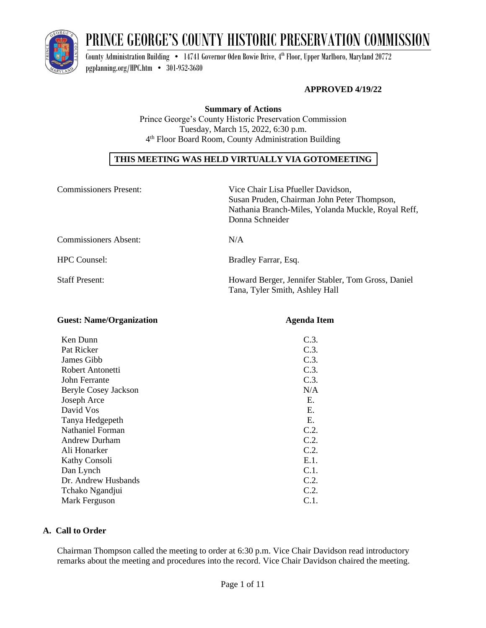

# PRINCE GEORGE'S COUNTY HISTORIC PRESERVATION COMMISSION

County Administration Building  $\bullet$   $\,$  14741 Governor Oden Bowie Drive, 4th Floor, Upper Marlboro, Maryland 20772 [pgplanning.org/HPC.htm](http://www.pgplanning.org/HPC.htm) • 301-952-3680

# **APPROVED 4/19/22**

**Summary of Actions** Prince George's County Historic Preservation Commission Tuesday, March 15, 2022, 6:30 p.m. 4 th Floor Board Room, County Administration Building

# **THIS MEETING WAS HELD VIRTUALLY VIA GOTOMEETING**

| <b>Commissioners Present:</b> | Vice Chair Lisa Pfueller Davidson,<br>Susan Pruden, Chairman John Peter Thompson,<br>Nathania Branch-Miles, Yolanda Muckle, Royal Reff,<br>Donna Schneider |
|-------------------------------|------------------------------------------------------------------------------------------------------------------------------------------------------------|
| <b>Commissioners Absent:</b>  | N/A                                                                                                                                                        |
| <b>HPC Counsel:</b>           | Bradley Farrar, Esq.                                                                                                                                       |
| <b>Staff Present:</b>         | Howard Berger, Jennifer Stabler, Tom Gross, Daniel<br>Tana, Tyler Smith, Ashley Hall                                                                       |

| o                    | o            |
|----------------------|--------------|
| Ken Dunn             | C.3.         |
| Pat Ricker           | C.3.         |
| James Gibb           | C.3.         |
| Robert Antonetti     | C.3.         |
| John Ferrante        | C.3.         |
| Beryle Cosey Jackson | N/A          |
| Joseph Arce          | Е.           |
| David Vos            | Е.           |
| Tanya Hedgepeth      | $E_{\rm{r}}$ |
| Nathaniel Forman     | C.2.         |
| <b>Andrew Durham</b> | C.2.         |
| Ali Honarker         | C.2.         |
| Kathy Consoli        | E.1.         |
| Dan Lynch            | C.1.         |
| Dr. Andrew Husbands  | C.2.         |
| Tchako Ngandjui      | C.2.         |
| Mark Ferguson        | C.1.         |

**Guest: Name/Organization Agenda Item**

#### **A. Call to Order**

Chairman Thompson called the meeting to order at 6:30 p.m. Vice Chair Davidson read introductory remarks about the meeting and procedures into the record. Vice Chair Davidson chaired the meeting.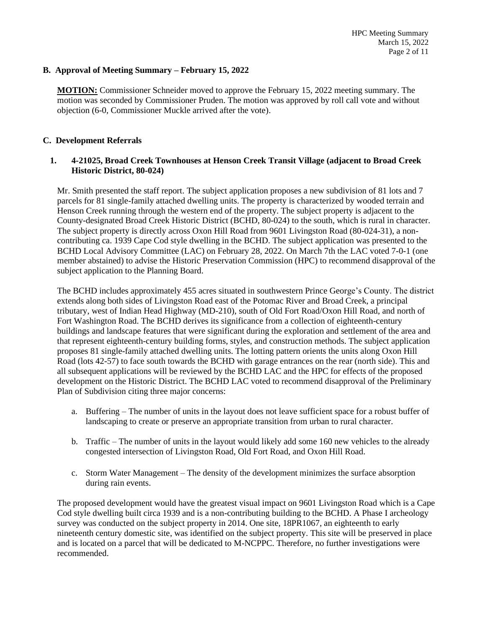# **B. Approval of Meeting Summary – February 15, 2022**

**MOTION:** Commissioner Schneider moved to approve the February 15, 2022 meeting summary. The motion was seconded by Commissioner Pruden. The motion was approved by roll call vote and without objection (6-0, Commissioner Muckle arrived after the vote).

#### **C. Development Referrals**

#### **1. 4-21025, Broad Creek Townhouses at Henson Creek Transit Village (adjacent to Broad Creek Historic District, 80-024)**

Mr. Smith presented the staff report. The subject application proposes a new subdivision of 81 lots and 7 parcels for 81 single-family attached dwelling units. The property is characterized by wooded terrain and Henson Creek running through the western end of the property. The subject property is adjacent to the County-designated Broad Creek Historic District (BCHD, 80-024) to the south, which is rural in character. The subject property is directly across Oxon Hill Road from 9601 Livingston Road (80-024-31), a noncontributing ca. 1939 Cape Cod style dwelling in the BCHD. The subject application was presented to the BCHD Local Advisory Committee (LAC) on February 28, 2022. On March 7th the LAC voted 7-0-1 (one member abstained) to advise the Historic Preservation Commission (HPC) to recommend disapproval of the subject application to the Planning Board.

The BCHD includes approximately 455 acres situated in southwestern Prince George's County. The district extends along both sides of Livingston Road east of the Potomac River and Broad Creek, a principal tributary, west of Indian Head Highway (MD-210), south of Old Fort Road/Oxon Hill Road, and north of Fort Washington Road. The BCHD derives its significance from a collection of eighteenth-century buildings and landscape features that were significant during the exploration and settlement of the area and that represent eighteenth-century building forms, styles, and construction methods. The subject application proposes 81 single-family attached dwelling units. The lotting pattern orients the units along Oxon Hill Road (lots 42-57) to face south towards the BCHD with garage entrances on the rear (north side). This and all subsequent applications will be reviewed by the BCHD LAC and the HPC for effects of the proposed development on the Historic District. The BCHD LAC voted to recommend disapproval of the Preliminary Plan of Subdivision citing three major concerns:

- a. Buffering The number of units in the layout does not leave sufficient space for a robust buffer of landscaping to create or preserve an appropriate transition from urban to rural character.
- b. Traffic The number of units in the layout would likely add some 160 new vehicles to the already congested intersection of Livingston Road, Old Fort Road, and Oxon Hill Road.
- c. Storm Water Management The density of the development minimizes the surface absorption during rain events.

The proposed development would have the greatest visual impact on 9601 Livingston Road which is a Cape Cod style dwelling built circa 1939 and is a non-contributing building to the BCHD. A Phase I archeology survey was conducted on the subject property in 2014. One site, 18PR1067, an eighteenth to early nineteenth century domestic site, was identified on the subject property. This site will be preserved in place and is located on a parcel that will be dedicated to M-NCPPC. Therefore, no further investigations were recommended.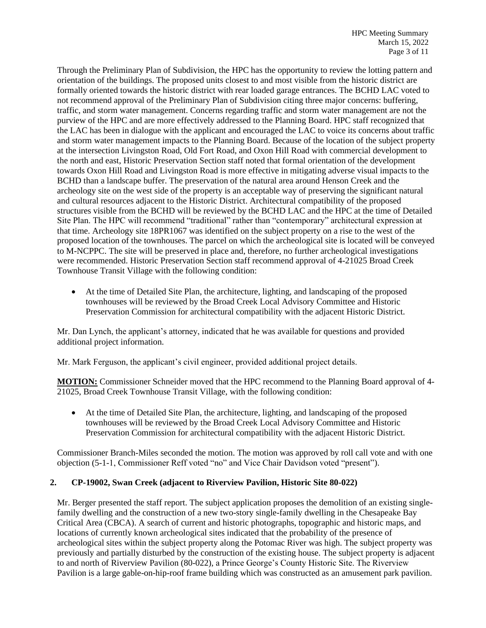Through the Preliminary Plan of Subdivision, the HPC has the opportunity to review the lotting pattern and orientation of the buildings. The proposed units closest to and most visible from the historic district are formally oriented towards the historic district with rear loaded garage entrances. The BCHD LAC voted to not recommend approval of the Preliminary Plan of Subdivision citing three major concerns: buffering, traffic, and storm water management. Concerns regarding traffic and storm water management are not the purview of the HPC and are more effectively addressed to the Planning Board. HPC staff recognized that the LAC has been in dialogue with the applicant and encouraged the LAC to voice its concerns about traffic and storm water management impacts to the Planning Board. Because of the location of the subject property at the intersection Livingston Road, Old Fort Road, and Oxon Hill Road with commercial development to the north and east, Historic Preservation Section staff noted that formal orientation of the development towards Oxon Hill Road and Livingston Road is more effective in mitigating adverse visual impacts to the BCHD than a landscape buffer. The preservation of the natural area around Henson Creek and the archeology site on the west side of the property is an acceptable way of preserving the significant natural and cultural resources adjacent to the Historic District. Architectural compatibility of the proposed structures visible from the BCHD will be reviewed by the BCHD LAC and the HPC at the time of Detailed Site Plan. The HPC will recommend "traditional" rather than "contemporary" architectural expression at that time. Archeology site 18PR1067 was identified on the subject property on a rise to the west of the proposed location of the townhouses. The parcel on which the archeological site is located will be conveyed to M-NCPPC. The site will be preserved in place and, therefore, no further archeological investigations were recommended. Historic Preservation Section staff recommend approval of 4-21025 Broad Creek Townhouse Transit Village with the following condition:

• At the time of Detailed Site Plan, the architecture, lighting, and landscaping of the proposed townhouses will be reviewed by the Broad Creek Local Advisory Committee and Historic Preservation Commission for architectural compatibility with the adjacent Historic District.

Mr. Dan Lynch, the applicant's attorney, indicated that he was available for questions and provided additional project information.

Mr. Mark Ferguson, the applicant's civil engineer, provided additional project details.

**MOTION:** Commissioner Schneider moved that the HPC recommend to the Planning Board approval of 4- 21025, Broad Creek Townhouse Transit Village, with the following condition:

• At the time of Detailed Site Plan, the architecture, lighting, and landscaping of the proposed townhouses will be reviewed by the Broad Creek Local Advisory Committee and Historic Preservation Commission for architectural compatibility with the adjacent Historic District.

Commissioner Branch-Miles seconded the motion. The motion was approved by roll call vote and with one objection (5-1-1, Commissioner Reff voted "no" and Vice Chair Davidson voted "present").

# **2. CP-19002, Swan Creek (adjacent to Riverview Pavilion, Historic Site 80-022)**

Mr. Berger presented the staff report. The subject application proposes the demolition of an existing singlefamily dwelling and the construction of a new two-story single-family dwelling in the Chesapeake Bay Critical Area (CBCA). A search of current and historic photographs, topographic and historic maps, and locations of currently known archeological sites indicated that the probability of the presence of archeological sites within the subject property along the Potomac River was high. The subject property was previously and partially disturbed by the construction of the existing house. The subject property is adjacent to and north of Riverview Pavilion (80-022), a Prince George's County Historic Site. The Riverview Pavilion is a large gable-on-hip-roof frame building which was constructed as an amusement park pavilion.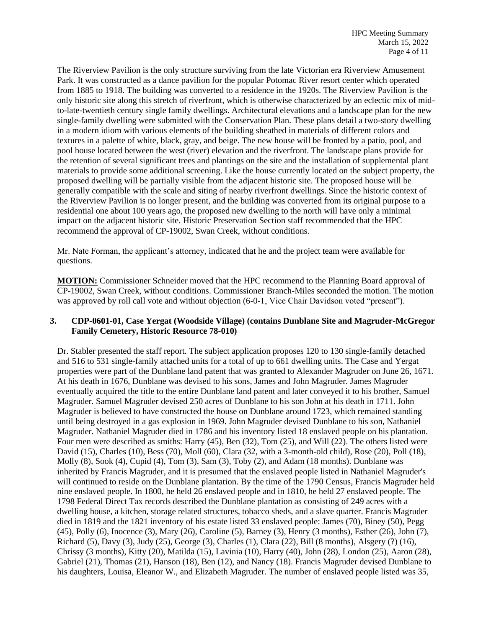The Riverview Pavilion is the only structure surviving from the late Victorian era Riverview Amusement Park. It was constructed as a dance pavilion for the popular Potomac River resort center which operated from 1885 to 1918. The building was converted to a residence in the 1920s. The Riverview Pavilion is the only historic site along this stretch of riverfront, which is otherwise characterized by an eclectic mix of midto-late-twentieth century single family dwellings. Architectural elevations and a landscape plan for the new single-family dwelling were submitted with the Conservation Plan. These plans detail a two-story dwelling in a modern idiom with various elements of the building sheathed in materials of different colors and textures in a palette of white, black, gray, and beige. The new house will be fronted by a patio, pool, and pool house located between the west (river) elevation and the riverfront. The landscape plans provide for the retention of several significant trees and plantings on the site and the installation of supplemental plant materials to provide some additional screening. Like the house currently located on the subject property, the proposed dwelling will be partially visible from the adjacent historic site. The proposed house will be generally compatible with the scale and siting of nearby riverfront dwellings. Since the historic context of the Riverview Pavilion is no longer present, and the building was converted from its original purpose to a residential one about 100 years ago, the proposed new dwelling to the north will have only a minimal impact on the adjacent historic site. Historic Preservation Section staff recommended that the HPC recommend the approval of CP-19002, Swan Creek, without conditions.

Mr. Nate Forman, the applicant's attorney, indicated that he and the project team were available for questions.

**MOTION:** Commissioner Schneider moved that the HPC recommend to the Planning Board approval of CP-19002, Swan Creek, without conditions. Commissioner Branch-Miles seconded the motion. The motion was approved by roll call vote and without objection (6-0-1, Vice Chair Davidson voted "present").

# **3. CDP-0601-01, Case Yergat (Woodside Village) (contains Dunblane Site and Magruder-McGregor Family Cemetery, Historic Resource 78-010)**

Dr. Stabler presented the staff report. The subject application proposes 120 to 130 single-family detached and 516 to 531 single-family attached units for a total of up to 661 dwelling units. The Case and Yergat properties were part of the Dunblane land patent that was granted to Alexander Magruder on June 26, 1671. At his death in 1676, Dunblane was devised to his sons, James and John Magruder. James Magruder eventually acquired the title to the entire Dunblane land patent and later conveyed it to his brother, Samuel Magruder. Samuel Magruder devised 250 acres of Dunblane to his son John at his death in 1711. John Magruder is believed to have constructed the house on Dunblane around 1723, which remained standing until being destroyed in a gas explosion in 1969. John Magruder devised Dunblane to his son, Nathaniel Magruder. Nathaniel Magruder died in 1786 and his inventory listed 18 enslaved people on his plantation. Four men were described as smiths: Harry (45), Ben (32), Tom (25), and Will (22). The others listed were David (15), Charles (10), Bess (70), Moll (60), Clara (32, with a 3-month-old child), Rose (20), Poll (18), Molly (8), Sook (4), Cupid (4), Tom (3), Sam (3), Toby (2), and Adam (18 months). Dunblane was inherited by Francis Magruder, and it is presumed that the enslaved people listed in Nathaniel Magruder's will continued to reside on the Dunblane plantation. By the time of the 1790 Census, Francis Magruder held nine enslaved people. In 1800, he held 26 enslaved people and in 1810, he held 27 enslaved people. The 1798 Federal Direct Tax records described the Dunblane plantation as consisting of 249 acres with a dwelling house, a kitchen, storage related structures, tobacco sheds, and a slave quarter. Francis Magruder died in 1819 and the 1821 inventory of his estate listed 33 enslaved people: James (70), Biney (50), Pegg (45), Polly (6), Inocence (3), Mary (26), Caroline (5), Barney (3), Henry (3 months), Esther (26), John (7), Richard (5), Davy (3), Judy (25), George (3), Charles (1), Clara (22), Bill (8 months), Alsgery (?) (16), Chrissy (3 months), Kitty (20), Matilda (15), Lavinia (10), Harry (40), John (28), London (25), Aaron (28), Gabriel (21), Thomas (21), Hanson (18), Ben (12), and Nancy (18). Francis Magruder devised Dunblane to his daughters, Louisa, Eleanor W., and Elizabeth Magruder. The number of enslaved people listed was 35,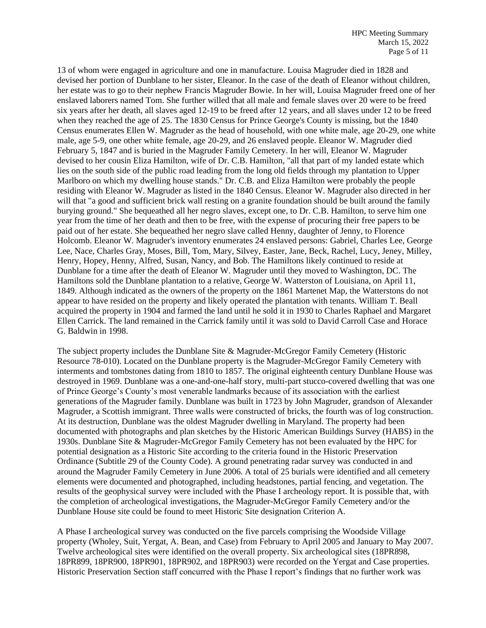13 of whom were engaged in agriculture and one in manufacture. Louisa Magruder died in 1828 and devised her portion of Dunblane to her sister, Eleanor. In the case of the death of Eleanor without children, her estate was to go to their nephew Francis Magruder Bowie. In her will, Louisa Magruder freed one of her enslaved laborers named Tom. She further willed that all male and female slaves over 20 were to be freed six years after her death, all slaves aged 12-19 to be freed after 12 years, and all slaves under 12 to be freed when they reached the age of 25. The 1830 Census for Prince George's County is missing, but the 1840 Census enumerates Ellen W. Magruder as the head of household, with one white male, age 20-29, one white male, age 5-9, one other white female, age 20-29, and 26 enslaved people. Eleanor W. Magruder died February 5, 1847 and is buried in the Magruder Family Cemetery. In her will, Eleanor W. Magruder devised to her cousin Eliza Hamilton, wife of Dr. C.B. Hamilton, "all that part of my landed estate which lies on the south side of the public road leading from the long old fields through my plantation to Upper Marlboro on which my dwelling house stands." Dr. C.B. and Eliza Hamilton were probably the people residing with Eleanor W. Magruder as listed in the 1840 Census. Eleanor W. Magruder also directed in her will that "a good and sufficient brick wall resting on a granite foundation should be built around the family burying ground." She bequeathed all her negro slaves, except one, to Dr. C.B. Hamilton, to serve him one year from the time of her death and then to be free, with the expense of procuring their free papers to be paid out of her estate. She bequeathed her negro slave called Henny, daughter of Jenny, to Florence Holcomb. Eleanor W. Magruder's inventory enumerates 24 enslaved persons: Gabriel, Charles Lee, George Lee, Nace, Charles Gray, Moses, Bill, Tom, Mary, Silvey, Easter, Jane, Beck, Rachel, Lucy, Jeney, Milley, Henry, Hopey, Henny, Alfred, Susan, Nancy, and Bob. The Hamiltons likely continued to reside at Dunblane for a time after the death of Eleanor W. Magruder until they moved to Washington, DC. The Hamiltons sold the Dunblane plantation to a relative, George W. Watterston of Louisiana, on April 11, 1849. Although indicated as the owners of the property on the 1861 Martenet Map, the Watterstons do not appear to have resided on the property and likely operated the plantation with tenants. William T. Beall acquired the property in 1904 and farmed the land until he sold it in 1930 to Charles Raphael and Margaret Ellen Carrick. The land remained in the Carrick family until it was sold to David Carroll Case and Horace G. Baldwin in 1998.

The subject property includes the Dunblane Site & Magruder-McGregor Family Cemetery (Historic Resource 78-010). Located on the Dunblane property is the Magruder-McGregor Family Cemetery with interments and tombstones dating from 1810 to 1857. The original eighteenth century Dunblane House was destroyed in 1969. Dunblane was a one-and-one-half story, multi-part stucco-covered dwelling that was one of Prince George's County's most venerable landmarks because of its association with the earliest generations of the Magruder family. Dunblane was built in 1723 by John Magruder, grandson of Alexander Magruder, a Scottish immigrant. Three walls were constructed of bricks, the fourth was of log construction. At its destruction, Dunblane was the oldest Magruder dwelling in Maryland. The property had been documented with photographs and plan sketches by the Historic American Buildings Survey (HABS) in the 1930s. Dunblane Site & Magruder-McGregor Family Cemetery has not been evaluated by the HPC for potential designation as a Historic Site according to the criteria found in the Historic Preservation Ordinance (Subtitle 29 of the County Code). A ground penetrating radar survey was conducted in and around the Magruder Family Cemetery in June 2006. A total of 25 burials were identified and all cemetery elements were documented and photographed, including headstones, partial fencing, and vegetation. The results of the geophysical survey were included with the Phase I archeology report. It is possible that, with the completion of archeological investigations, the Magruder-McGregor Family Cemetery and/or the Dunblane House site could be found to meet Historic Site designation Criterion A.

A Phase I archeological survey was conducted on the five parcels comprising the Woodside Village property (Wholey, Suit, Yergat, A. Bean, and Case) from February to April 2005 and January to May 2007. Twelve archeological sites were identified on the overall property. Six archeological sites (18PR898, 18PR899, 18PR900, 18PR901, 18PR902, and 18PR903) were recorded on the Yergat and Case properties. Historic Preservation Section staff concurred with the Phase I report's findings that no further work was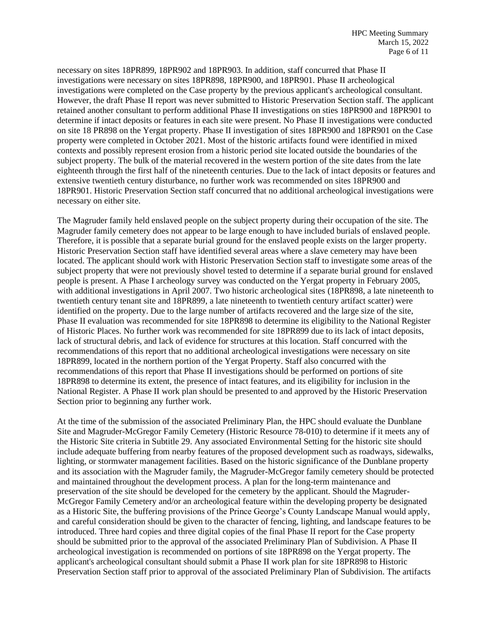necessary on sites 18PR899, 18PR902 and 18PR903. In addition, staff concurred that Phase II investigations were necessary on sites 18PR898, 18PR900, and 18PR901. Phase II archeological investigations were completed on the Case property by the previous applicant's archeological consultant. However, the draft Phase II report was never submitted to Historic Preservation Section staff. The applicant retained another consultant to perform additional Phase II investigations on sties 18PR900 and 18PR901 to determine if intact deposits or features in each site were present. No Phase II investigations were conducted on site 18 PR898 on the Yergat property. Phase II investigation of sites 18PR900 and 18PR901 on the Case property were completed in October 2021. Most of the historic artifacts found were identified in mixed contexts and possibly represent erosion from a historic period site located outside the boundaries of the subject property. The bulk of the material recovered in the western portion of the site dates from the late eighteenth through the first half of the nineteenth centuries. Due to the lack of intact deposits or features and extensive twentieth century disturbance, no further work was recommended on sites 18PR900 and 18PR901. Historic Preservation Section staff concurred that no additional archeological investigations were necessary on either site.

The Magruder family held enslaved people on the subject property during their occupation of the site. The Magruder family cemetery does not appear to be large enough to have included burials of enslaved people. Therefore, it is possible that a separate burial ground for the enslaved people exists on the larger property. Historic Preservation Section staff have identified several areas where a slave cemetery may have been located. The applicant should work with Historic Preservation Section staff to investigate some areas of the subject property that were not previously shovel tested to determine if a separate burial ground for enslaved people is present. A Phase I archeology survey was conducted on the Yergat property in February 2005, with additional investigations in April 2007. Two historic archeological sites (18PR898, a late nineteenth to twentieth century tenant site and 18PR899, a late nineteenth to twentieth century artifact scatter) were identified on the property. Due to the large number of artifacts recovered and the large size of the site, Phase II evaluation was recommended for site 18PR898 to determine its eligibility to the National Register of Historic Places. No further work was recommended for site 18PR899 due to its lack of intact deposits, lack of structural debris, and lack of evidence for structures at this location. Staff concurred with the recommendations of this report that no additional archeological investigations were necessary on site 18PR899, located in the northern portion of the Yergat Property. Staff also concurred with the recommendations of this report that Phase II investigations should be performed on portions of site 18PR898 to determine its extent, the presence of intact features, and its eligibility for inclusion in the National Register. A Phase II work plan should be presented to and approved by the Historic Preservation Section prior to beginning any further work.

At the time of the submission of the associated Preliminary Plan, the HPC should evaluate the Dunblane Site and Magruder-McGregor Family Cemetery (Historic Resource 78-010) to determine if it meets any of the Historic Site criteria in Subtitle 29. Any associated Environmental Setting for the historic site should include adequate buffering from nearby features of the proposed development such as roadways, sidewalks, lighting, or stormwater management facilities. Based on the historic significance of the Dunblane property and its association with the Magruder family, the Magruder-McGregor family cemetery should be protected and maintained throughout the development process. A plan for the long-term maintenance and preservation of the site should be developed for the cemetery by the applicant. Should the Magruder-McGregor Family Cemetery and/or an archeological feature within the developing property be designated as a Historic Site, the buffering provisions of the Prince George's County Landscape Manual would apply, and careful consideration should be given to the character of fencing, lighting, and landscape features to be introduced. Three hard copies and three digital copies of the final Phase II report for the Case property should be submitted prior to the approval of the associated Preliminary Plan of Subdivision. A Phase II archeological investigation is recommended on portions of site 18PR898 on the Yergat property. The applicant's archeological consultant should submit a Phase II work plan for site 18PR898 to Historic Preservation Section staff prior to approval of the associated Preliminary Plan of Subdivision. The artifacts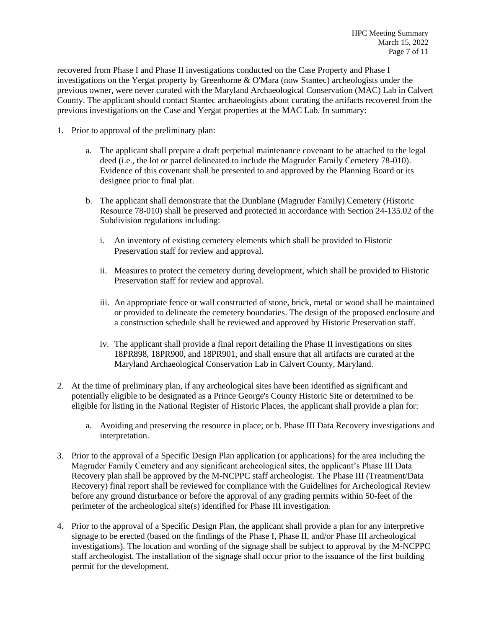recovered from Phase I and Phase II investigations conducted on the Case Property and Phase I investigations on the Yergat property by Greenhorne & O'Mara (now Stantec) archeologists under the previous owner, were never curated with the Maryland Archaeological Conservation (MAC) Lab in Calvert County. The applicant should contact Stantec archaeologists about curating the artifacts recovered from the previous investigations on the Case and Yergat properties at the MAC Lab. In summary:

- 1. Prior to approval of the preliminary plan:
	- a. The applicant shall prepare a draft perpetual maintenance covenant to be attached to the legal deed (i.e., the lot or parcel delineated to include the Magruder Family Cemetery 78-010). Evidence of this covenant shall be presented to and approved by the Planning Board or its designee prior to final plat.
	- b. The applicant shall demonstrate that the Dunblane (Magruder Family) Cemetery (Historic Resource 78-010) shall be preserved and protected in accordance with Section 24-135.02 of the Subdivision regulations including:
		- i. An inventory of existing cemetery elements which shall be provided to Historic Preservation staff for review and approval.
		- ii. Measures to protect the cemetery during development, which shall be provided to Historic Preservation staff for review and approval.
		- iii. An appropriate fence or wall constructed of stone, brick, metal or wood shall be maintained or provided to delineate the cemetery boundaries. The design of the proposed enclosure and a construction schedule shall be reviewed and approved by Historic Preservation staff.
		- iv. The applicant shall provide a final report detailing the Phase II investigations on sites 18PR898, 18PR900, and 18PR901, and shall ensure that all artifacts are curated at the Maryland Archaeological Conservation Lab in Calvert County, Maryland.
- 2. At the time of preliminary plan, if any archeological sites have been identified as significant and potentially eligible to be designated as a Prince George's County Historic Site or determined to be eligible for listing in the National Register of Historic Places, the applicant shall provide a plan for:
	- a. Avoiding and preserving the resource in place; or b. Phase III Data Recovery investigations and interpretation.
- 3. Prior to the approval of a Specific Design Plan application (or applications) for the area including the Magruder Family Cemetery and any significant archeological sites, the applicant's Phase III Data Recovery plan shall be approved by the M-NCPPC staff archeologist. The Phase III (Treatment/Data Recovery) final report shall be reviewed for compliance with the Guidelines for Archeological Review before any ground disturbance or before the approval of any grading permits within 50-feet of the perimeter of the archeological site(s) identified for Phase III investigation.
- 4. Prior to the approval of a Specific Design Plan, the applicant shall provide a plan for any interpretive signage to be erected (based on the findings of the Phase I, Phase II, and/or Phase III archeological investigations). The location and wording of the signage shall be subject to approval by the M-NCPPC staff archeologist. The installation of the signage shall occur prior to the issuance of the first building permit for the development.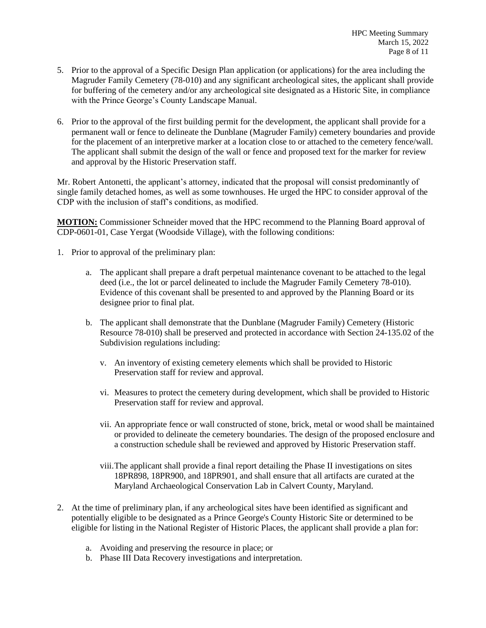- 5. Prior to the approval of a Specific Design Plan application (or applications) for the area including the Magruder Family Cemetery (78-010) and any significant archeological sites, the applicant shall provide for buffering of the cemetery and/or any archeological site designated as a Historic Site, in compliance with the Prince George's County Landscape Manual.
- 6. Prior to the approval of the first building permit for the development, the applicant shall provide for a permanent wall or fence to delineate the Dunblane (Magruder Family) cemetery boundaries and provide for the placement of an interpretive marker at a location close to or attached to the cemetery fence/wall. The applicant shall submit the design of the wall or fence and proposed text for the marker for review and approval by the Historic Preservation staff.

Mr. Robert Antonetti, the applicant's attorney, indicated that the proposal will consist predominantly of single family detached homes, as well as some townhouses. He urged the HPC to consider approval of the CDP with the inclusion of staff's conditions, as modified.

**MOTION:** Commissioner Schneider moved that the HPC recommend to the Planning Board approval of CDP-0601-01, Case Yergat (Woodside Village), with the following conditions:

- 1. Prior to approval of the preliminary plan:
	- a. The applicant shall prepare a draft perpetual maintenance covenant to be attached to the legal deed (i.e., the lot or parcel delineated to include the Magruder Family Cemetery 78-010). Evidence of this covenant shall be presented to and approved by the Planning Board or its designee prior to final plat.
	- b. The applicant shall demonstrate that the Dunblane (Magruder Family) Cemetery (Historic Resource 78-010) shall be preserved and protected in accordance with Section 24-135.02 of the Subdivision regulations including:
		- v. An inventory of existing cemetery elements which shall be provided to Historic Preservation staff for review and approval.
		- vi. Measures to protect the cemetery during development, which shall be provided to Historic Preservation staff for review and approval.
		- vii. An appropriate fence or wall constructed of stone, brick, metal or wood shall be maintained or provided to delineate the cemetery boundaries. The design of the proposed enclosure and a construction schedule shall be reviewed and approved by Historic Preservation staff.
		- viii.The applicant shall provide a final report detailing the Phase II investigations on sites 18PR898, 18PR900, and 18PR901, and shall ensure that all artifacts are curated at the Maryland Archaeological Conservation Lab in Calvert County, Maryland.
- 2. At the time of preliminary plan, if any archeological sites have been identified as significant and potentially eligible to be designated as a Prince George's County Historic Site or determined to be eligible for listing in the National Register of Historic Places, the applicant shall provide a plan for:
	- a. Avoiding and preserving the resource in place; or
	- b. Phase III Data Recovery investigations and interpretation.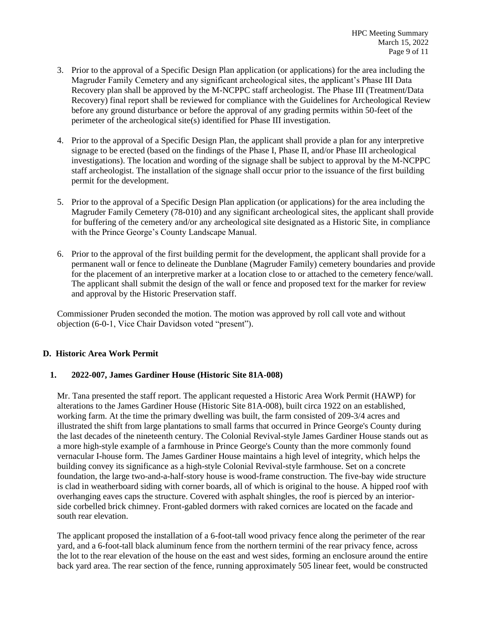- 3. Prior to the approval of a Specific Design Plan application (or applications) for the area including the Magruder Family Cemetery and any significant archeological sites, the applicant's Phase III Data Recovery plan shall be approved by the M-NCPPC staff archeologist. The Phase III (Treatment/Data Recovery) final report shall be reviewed for compliance with the Guidelines for Archeological Review before any ground disturbance or before the approval of any grading permits within 50-feet of the perimeter of the archeological site(s) identified for Phase III investigation.
- 4. Prior to the approval of a Specific Design Plan, the applicant shall provide a plan for any interpretive signage to be erected (based on the findings of the Phase I, Phase II, and/or Phase III archeological investigations). The location and wording of the signage shall be subject to approval by the M-NCPPC staff archeologist. The installation of the signage shall occur prior to the issuance of the first building permit for the development.
- 5. Prior to the approval of a Specific Design Plan application (or applications) for the area including the Magruder Family Cemetery (78-010) and any significant archeological sites, the applicant shall provide for buffering of the cemetery and/or any archeological site designated as a Historic Site, in compliance with the Prince George's County Landscape Manual.
- 6. Prior to the approval of the first building permit for the development, the applicant shall provide for a permanent wall or fence to delineate the Dunblane (Magruder Family) cemetery boundaries and provide for the placement of an interpretive marker at a location close to or attached to the cemetery fence/wall. The applicant shall submit the design of the wall or fence and proposed text for the marker for review and approval by the Historic Preservation staff.

Commissioner Pruden seconded the motion. The motion was approved by roll call vote and without objection (6-0-1, Vice Chair Davidson voted "present").

# **D. Historic Area Work Permit**

#### **1. 2022-007, James Gardiner House (Historic Site 81A-008)**

Mr. Tana presented the staff report. The applicant requested a Historic Area Work Permit (HAWP) for alterations to the James Gardiner House (Historic Site 81A-008), built circa 1922 on an established, working farm. At the time the primary dwelling was built, the farm consisted of 209-3/4 acres and illustrated the shift from large plantations to small farms that occurred in Prince George's County during the last decades of the nineteenth century. The Colonial Revival-style James Gardiner House stands out as a more high-style example of a farmhouse in Prince George's County than the more commonly found vernacular I-house form. The James Gardiner House maintains a high level of integrity, which helps the building convey its significance as a high-style Colonial Revival-style farmhouse. Set on a concrete foundation, the large two-and-a-half-story house is wood-frame construction. The five-bay wide structure is clad in weatherboard siding with corner boards, all of which is original to the house. A hipped roof with overhanging eaves caps the structure. Covered with asphalt shingles, the roof is pierced by an interiorside corbelled brick chimney. Front-gabled dormers with raked cornices are located on the facade and south rear elevation.

The applicant proposed the installation of a 6-foot-tall wood privacy fence along the perimeter of the rear yard, and a 6-foot-tall black aluminum fence from the northern termini of the rear privacy fence, across the lot to the rear elevation of the house on the east and west sides, forming an enclosure around the entire back yard area. The rear section of the fence, running approximately 505 linear feet, would be constructed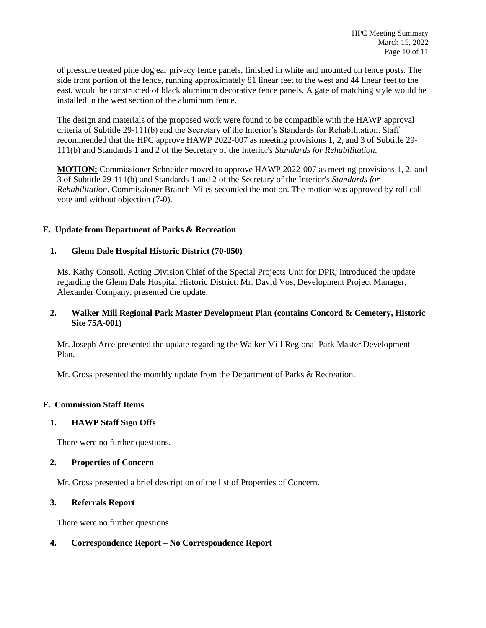of pressure treated pine dog ear privacy fence panels, finished in white and mounted on fence posts. The side front portion of the fence, running approximately 81 linear feet to the west and 44 linear feet to the east, would be constructed of black aluminum decorative fence panels. A gate of matching style would be installed in the west section of the aluminum fence.

The design and materials of the proposed work were found to be compatible with the HAWP approval criteria of Subtitle 29-111(b) and the Secretary of the Interior's Standards for Rehabilitation. Staff recommended that the HPC approve HAWP 2022-007 as meeting provisions 1, 2, and 3 of Subtitle 29- 111(b) and Standards 1 and 2 of the Secretary of the Interior's *Standards for Rehabilitation*.

**MOTION:** Commissioner Schneider moved to approve HAWP 2022-007 as meeting provisions 1, 2, and 3 of Subtitle 29-111(b) and Standards 1 and 2 of the Secretary of the Interior's *Standards for Rehabilitation*. Commissioner Branch-Miles seconded the motion. The motion was approved by roll call vote and without objection (7-0).

# **E. Update from Department of Parks & Recreation**

# **1. Glenn Dale Hospital Historic District (70-050)**

Ms. Kathy Consoli, Acting Division Chief of the Special Projects Unit for DPR, introduced the update regarding the Glenn Dale Hospital Historic District. Mr. David Vos, Development Project Manager, Alexander Company, presented the update.

#### **2. Walker Mill Regional Park Master Development Plan (contains Concord & Cemetery, Historic Site 75A-001)**

Mr. Joseph Arce presented the update regarding the Walker Mill Regional Park Master Development Plan.

Mr. Gross presented the monthly update from the Department of Parks & Recreation.

#### **F. Commission Staff Items**

#### **1. HAWP Staff Sign Offs**

There were no further questions.

#### **2. Properties of Concern**

Mr. Gross presented a brief description of the list of Properties of Concern.

#### **3. Referrals Report**

There were no further questions.

# **4. Correspondence Report – No Correspondence Report**